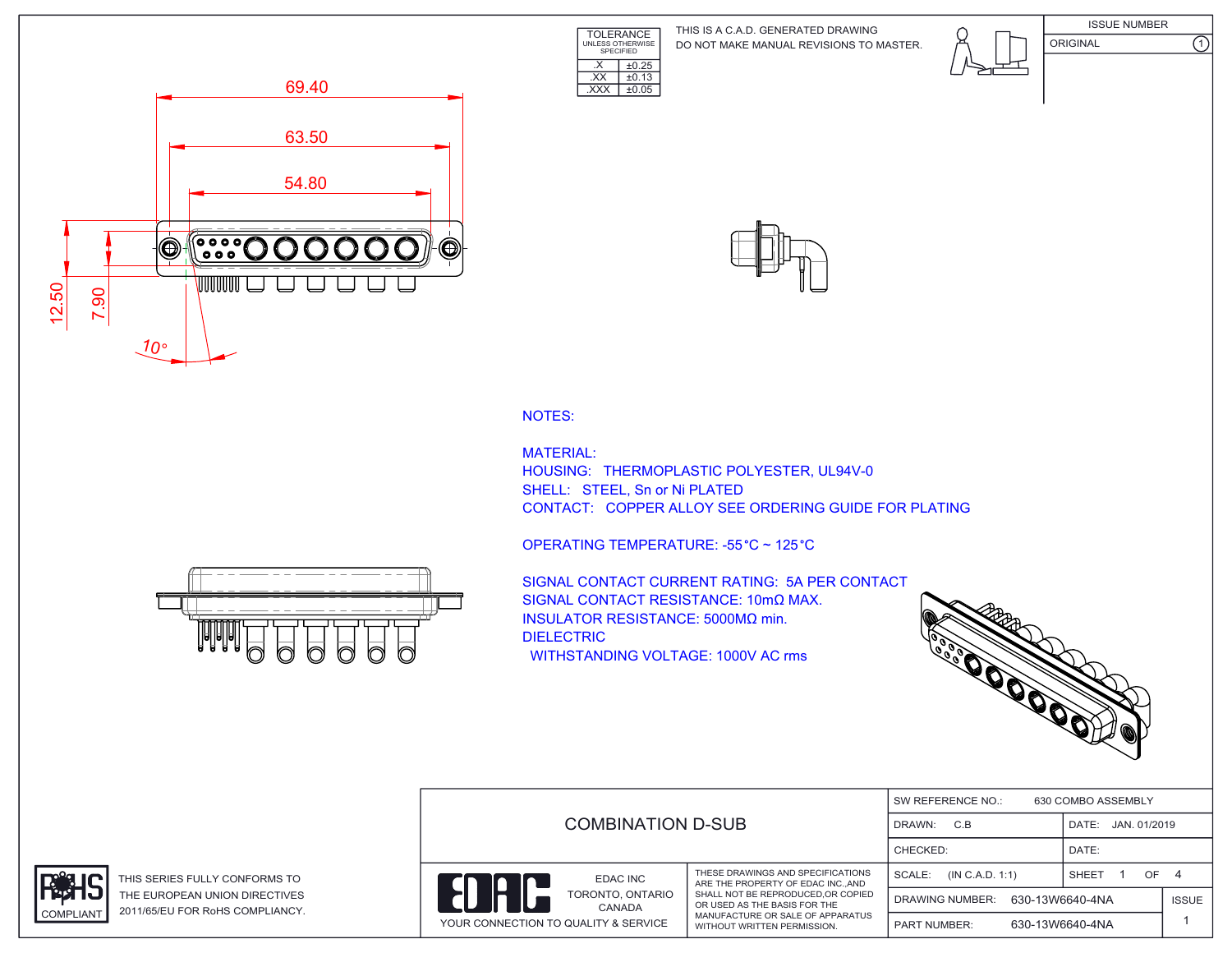TOLERANCE UNLESS OTHERWISE SPECIFIED DO NOT MAKE MANUAL REVISIONS TO MASTER. THIS IS A C.A.D. GENERATED DRAWING









NOTES:

MATERIAL: HOUSING: THERMOPLASTIC POLYESTER, UL94V-0 SHELL: STEEL, Sn or Ni PLATED CONTACT: COPPER ALLOY SEE ORDERING GUIDE FOR PLATING



 $\overline{\text{EXX}}$   $\pm 0.13$ .XXX ±0.05

 $\overline{\text{X}}$   $\pm 0.25$ 

SIGNAL CONTACT CURRENT RATING: 5A PER CONTACT SIGNAL CONTACT RESISTANCE: 10mΩ MAX. INSULATOR RESISTANCE: 5000MΩ min. DIELECTRIC WITHSTANDING VOLTAGE: 1000V AC rms



|                                      |                                                                                                                                       |                           |                       | SW REFERENCE NO.:<br>630 COMBO ASSEMBLY |  |  |  |
|--------------------------------------|---------------------------------------------------------------------------------------------------------------------------------------|---------------------------|-----------------------|-----------------------------------------|--|--|--|
|                                      | <b>COMBINATION D-SUB</b><br>DRAWN:<br>CHECKED:                                                                                        |                           | JAN. 01/2019<br>DATE: |                                         |  |  |  |
|                                      |                                                                                                                                       |                           | DATE:                 |                                         |  |  |  |
| EDAC INC                             | THESE DRAWINGS AND SPECIFICATIONS<br>ARE THE PROPERTY OF EDAC INCAND                                                                  | SCALE:<br>(IN C.A.D. 1:1) | OF.<br>SHEET          | -4                                      |  |  |  |
| TORONTO, ONTARIO<br>CANADA           | SHALL NOT BE REPRODUCED, OR COPIED<br>OR USED AS THE BASIS FOR THE<br>MANUFACTURE OR SALE OF APPARATUS<br>WITHOUT WRITTEN PERMISSION. | DRAWING NUMBER:           | 630-13W6640-4NA       | <b>ISSUE</b>                            |  |  |  |
| YOUR CONNECTION TO QUALITY & SERVICE |                                                                                                                                       | <b>PART NUMBER:</b>       | 630-13W6640-4NA       |                                         |  |  |  |





THIS SERIES FULLY CONFORMS TO THE EUROPEAN UNION DIRECTIVES COMPLIANT 2011/65/EU FOR RoHS COMPLIANCY.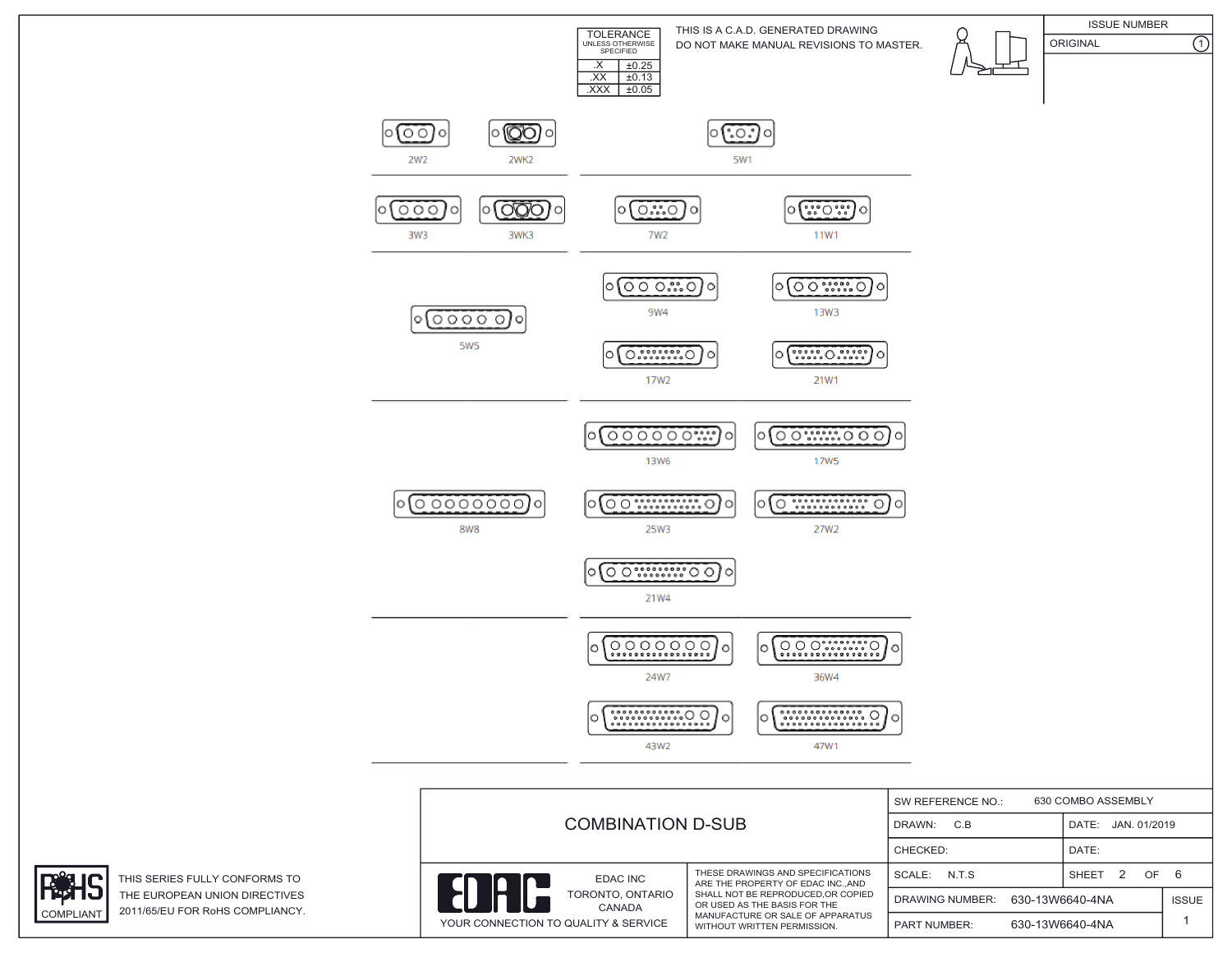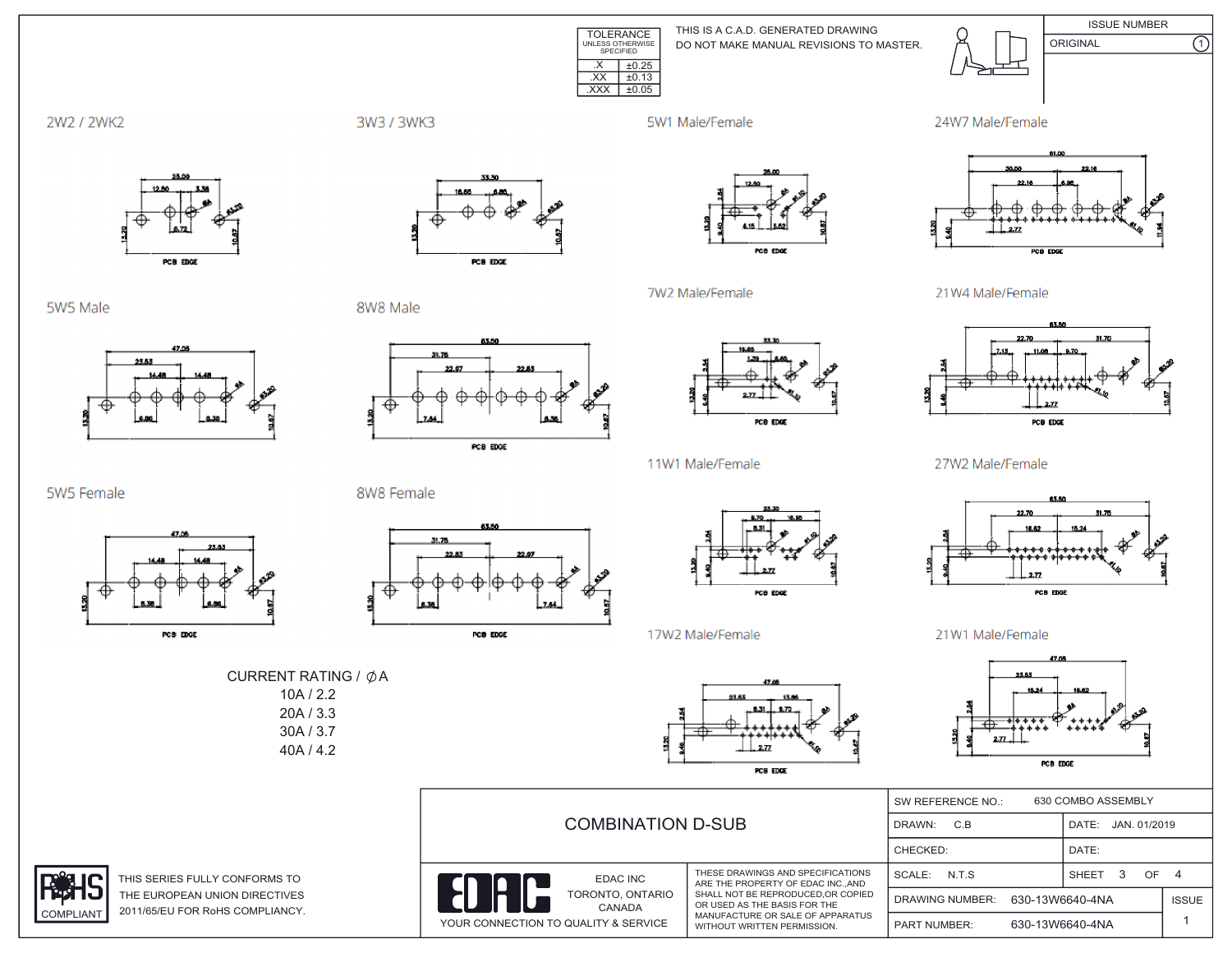

THIS IS A C.A.D. GENERATED DRAWING DO NOT MAKE MANUAL REVISIONS TO MASTER.



**ISSUE NUMBER**  $\overline{\Omega}$ ORIGINAL



3W3 / 3WK3

5W1 Male/Female

7W2 Male/Female





5W5 Male

5W5 Female

**COMPLIANT** 



PCB EDGE

PCB EDGE

8W8 Male



PCB EDGE



PCB EDGE

POB EDGE

11W1 Male/Female

21W4 Male/Female



27W2 Male/Female



21W1 Male/Female



|                       | <b>COMBINATION D-SUB</b>                                                        |                                                                                                                                      | 630 COMBO ASSEMBLY<br>SW REFERENCE NO.:   |                       |              |
|-----------------------|---------------------------------------------------------------------------------|--------------------------------------------------------------------------------------------------------------------------------------|-------------------------------------------|-----------------------|--------------|
|                       |                                                                                 |                                                                                                                                      | DRAWN:<br>C.B                             | JAN. 01/2019<br>DATE: |              |
|                       |                                                                                 |                                                                                                                                      | CHECKED:                                  | DATE:                 |              |
| <b>IS TO</b>          | EDAC INC                                                                        | THESE DRAWINGS AND SPECIFICATIONS<br>ARE THE PROPERTY OF EDAC INCAND                                                                 | SCALE:<br>N.T.S                           | OF 4<br>SHEET         |              |
| <b>TIVES</b><br>ANCY. | IĤ<br>TORONTO, ONTARIO<br><b>CANADA</b><br>YOUR CONNECTION TO QUALITY & SERVICE | SHALL NOT BE REPRODUCED.OR COPIED<br>OR USED AS THE BASIS FOR THE<br>MANUFACTURE OR SALE OF APPARATUS<br>WITHOUT WRITTEN PERMISSION. | 630-13W6640-4NA<br><b>DRAWING NUMBER:</b> |                       | <b>ISSUE</b> |
|                       |                                                                                 |                                                                                                                                      | <b>PART NUMBER:</b>                       | 630-13W6640-4NA       |              |

8W8 Female





17W2 Male/Female





THIS SERIES FULLY CONFORM THE EUROPEAN UNION DIREC 2011/65/EU FOR RoHS COMPLI